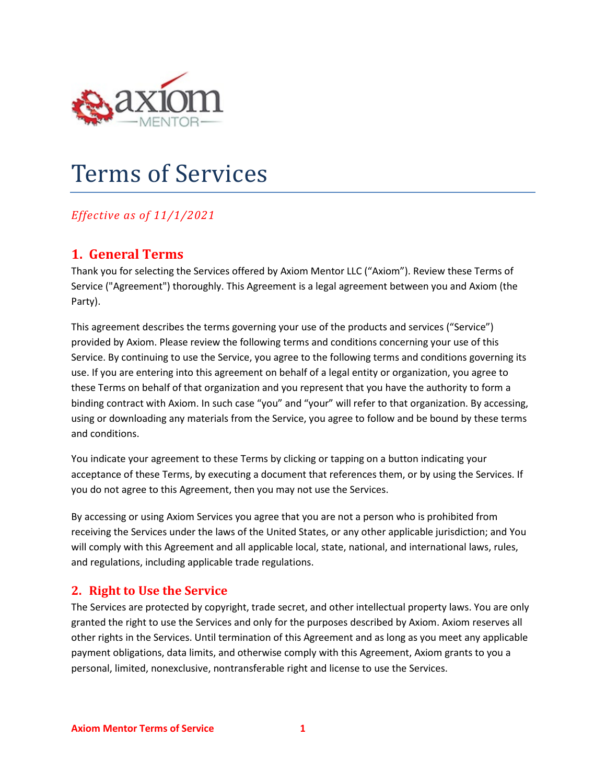

# Terms of Services

# *Effective as of 11/1/2021*

# **1. General Terms**

Thank you for selecting the Services offered by Axiom Mentor LLC ("Axiom"). Review these Terms of Service ("Agreement") thoroughly. This Agreement is a legal agreement between you and Axiom (the Party).

This agreement describes the terms governing your use of the products and services ("Service") provided by Axiom. Please review the following terms and conditions concerning your use of this Service. By continuing to use the Service, you agree to the following terms and conditions governing its use. If you are entering into this agreement on behalf of a legal entity or organization, you agree to these Terms on behalf of that organization and you represent that you have the authority to form a binding contract with Axiom. In such case "you" and "your" will refer to that organization. By accessing, using or downloading any materials from the Service, you agree to follow and be bound by these terms and conditions.

You indicate your agreement to these Terms by clicking or tapping on a button indicating your acceptance of these Terms, by executing a document that references them, or by using the Services. If you do not agree to this Agreement, then you may not use the Services.

By accessing or using Axiom Services you agree that you are not a person who is prohibited from receiving the Services under the laws of the United States, or any other applicable jurisdiction; and You will comply with this Agreement and all applicable local, state, national, and international laws, rules, and regulations, including applicable trade regulations.

#### **2. Right to Use the Service**

The Services are protected by copyright, trade secret, and other intellectual property laws. You are only granted the right to use the Services and only for the purposes described by Axiom. Axiom reserves all other rights in the Services. Until termination of this Agreement and as long as you meet any applicable payment obligations, data limits, and otherwise comply with this Agreement, Axiom grants to you a personal, limited, nonexclusive, nontransferable right and license to use the Services.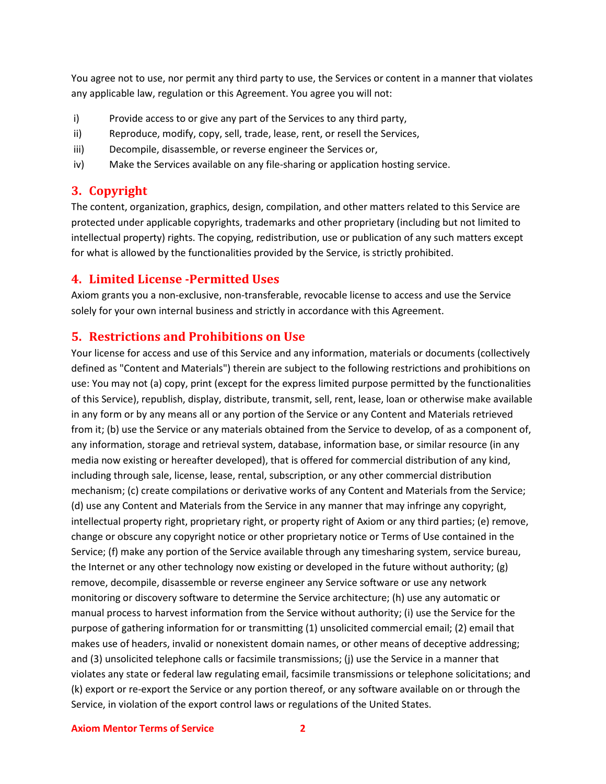You agree not to use, nor permit any third party to use, the Services or content in a manner that violates any applicable law, regulation or this Agreement. You agree you will not:

- i) Provide access to or give any part of the Services to any third party,
- ii) Reproduce, modify, copy, sell, trade, lease, rent, or resell the Services,
- iii) Decompile, disassemble, or reverse engineer the Services or,
- iv) Make the Services available on any file-sharing or application hosting service.

#### **3. Copyright**

The content, organization, graphics, design, compilation, and other matters related to this Service are protected under applicable copyrights, trademarks and other proprietary (including but not limited to intellectual property) rights. The copying, redistribution, use or publication of any such matters except for what is allowed by the functionalities provided by the Service, is strictly prohibited.

#### **4. Limited License -Permitted Uses**

Axiom grants you a non-exclusive, non-transferable, revocable license to access and use the Service solely for your own internal business and strictly in accordance with this Agreement.

#### **5. Restrictions and Prohibitions on Use**

Your license for access and use of this Service and any information, materials or documents (collectively defined as "Content and Materials") therein are subject to the following restrictions and prohibitions on use: You may not (a) copy, print (except for the express limited purpose permitted by the functionalities of this Service), republish, display, distribute, transmit, sell, rent, lease, loan or otherwise make available in any form or by any means all or any portion of the Service or any Content and Materials retrieved from it; (b) use the Service or any materials obtained from the Service to develop, of as a component of, any information, storage and retrieval system, database, information base, or similar resource (in any media now existing or hereafter developed), that is offered for commercial distribution of any kind, including through sale, license, lease, rental, subscription, or any other commercial distribution mechanism; (c) create compilations or derivative works of any Content and Materials from the Service; (d) use any Content and Materials from the Service in any manner that may infringe any copyright, intellectual property right, proprietary right, or property right of Axiom or any third parties; (e) remove, change or obscure any copyright notice or other proprietary notice or Terms of Use contained in the Service; (f) make any portion of the Service available through any timesharing system, service bureau, the Internet or any other technology now existing or developed in the future without authority; (g) remove, decompile, disassemble or reverse engineer any Service software or use any network monitoring or discovery software to determine the Service architecture; (h) use any automatic or manual process to harvest information from the Service without authority; (i) use the Service for the purpose of gathering information for or transmitting (1) unsolicited commercial email; (2) email that makes use of headers, invalid or nonexistent domain names, or other means of deceptive addressing; and (3) unsolicited telephone calls or facsimile transmissions; (j) use the Service in a manner that violates any state or federal law regulating email, facsimile transmissions or telephone solicitations; and (k) export or re-export the Service or any portion thereof, or any software available on or through the Service, in violation of the export control laws or regulations of the United States.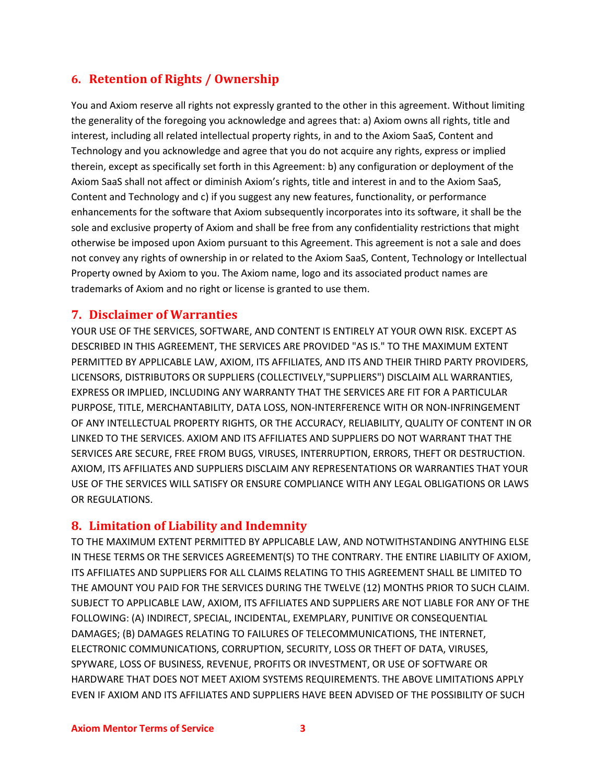# **6. Retention of Rights / Ownership**

You and Axiom reserve all rights not expressly granted to the other in this agreement. Without limiting the generality of the foregoing you acknowledge and agrees that: a) Axiom owns all rights, title and interest, including all related intellectual property rights, in and to the Axiom SaaS, Content and Technology and you acknowledge and agree that you do not acquire any rights, express or implied therein, except as specifically set forth in this Agreement: b) any configuration or deployment of the Axiom SaaS shall not affect or diminish Axiom's rights, title and interest in and to the Axiom SaaS, Content and Technology and c) if you suggest any new features, functionality, or performance enhancements for the software that Axiom subsequently incorporates into its software, it shall be the sole and exclusive property of Axiom and shall be free from any confidentiality restrictions that might otherwise be imposed upon Axiom pursuant to this Agreement. This agreement is not a sale and does not convey any rights of ownership in or related to the Axiom SaaS, Content, Technology or Intellectual Property owned by Axiom to you. The Axiom name, logo and its associated product names are trademarks of Axiom and no right or license is granted to use them.

#### **7. Disclaimer of Warranties**

YOUR USE OF THE SERVICES, SOFTWARE, AND CONTENT IS ENTIRELY AT YOUR OWN RISK. EXCEPT AS DESCRIBED IN THIS AGREEMENT, THE SERVICES ARE PROVIDED "AS IS." TO THE MAXIMUM EXTENT PERMITTED BY APPLICABLE LAW, AXIOM, ITS AFFILIATES, AND ITS AND THEIR THIRD PARTY PROVIDERS, LICENSORS, DISTRIBUTORS OR SUPPLIERS (COLLECTIVELY,"SUPPLIERS") DISCLAIM ALL WARRANTIES, EXPRESS OR IMPLIED, INCLUDING ANY WARRANTY THAT THE SERVICES ARE FIT FOR A PARTICULAR PURPOSE, TITLE, MERCHANTABILITY, DATA LOSS, NON-INTERFERENCE WITH OR NON-INFRINGEMENT OF ANY INTELLECTUAL PROPERTY RIGHTS, OR THE ACCURACY, RELIABILITY, QUALITY OF CONTENT IN OR LINKED TO THE SERVICES. AXIOM AND ITS AFFILIATES AND SUPPLIERS DO NOT WARRANT THAT THE SERVICES ARE SECURE, FREE FROM BUGS, VIRUSES, INTERRUPTION, ERRORS, THEFT OR DESTRUCTION. AXIOM, ITS AFFILIATES AND SUPPLIERS DISCLAIM ANY REPRESENTATIONS OR WARRANTIES THAT YOUR USE OF THE SERVICES WILL SATISFY OR ENSURE COMPLIANCE WITH ANY LEGAL OBLIGATIONS OR LAWS OR REGULATIONS.

#### **8. Limitation of Liability and Indemnity**

TO THE MAXIMUM EXTENT PERMITTED BY APPLICABLE LAW, AND NOTWITHSTANDING ANYTHING ELSE IN THESE TERMS OR THE SERVICES AGREEMENT(S) TO THE CONTRARY. THE ENTIRE LIABILITY OF AXIOM, ITS AFFILIATES AND SUPPLIERS FOR ALL CLAIMS RELATING TO THIS AGREEMENT SHALL BE LIMITED TO THE AMOUNT YOU PAID FOR THE SERVICES DURING THE TWELVE (12) MONTHS PRIOR TO SUCH CLAIM. SUBJECT TO APPLICABLE LAW, AXIOM, ITS AFFILIATES AND SUPPLIERS ARE NOT LIABLE FOR ANY OF THE FOLLOWING: (A) INDIRECT, SPECIAL, INCIDENTAL, EXEMPLARY, PUNITIVE OR CONSEQUENTIAL DAMAGES; (B) DAMAGES RELATING TO FAILURES OF TELECOMMUNICATIONS, THE INTERNET, ELECTRONIC COMMUNICATIONS, CORRUPTION, SECURITY, LOSS OR THEFT OF DATA, VIRUSES, SPYWARE, LOSS OF BUSINESS, REVENUE, PROFITS OR INVESTMENT, OR USE OF SOFTWARE OR HARDWARE THAT DOES NOT MEET AXIOM SYSTEMS REQUIREMENTS. THE ABOVE LIMITATIONS APPLY EVEN IF AXIOM AND ITS AFFILIATES AND SUPPLIERS HAVE BEEN ADVISED OF THE POSSIBILITY OF SUCH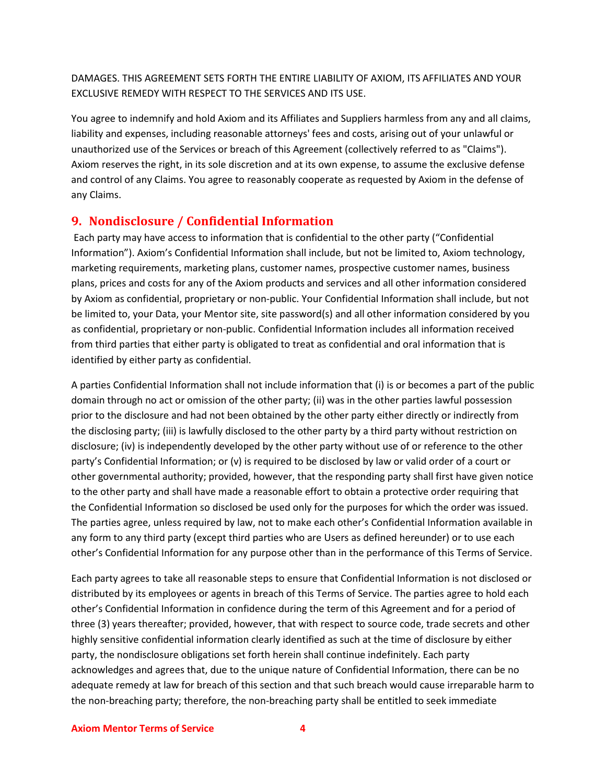DAMAGES. THIS AGREEMENT SETS FORTH THE ENTIRE LIABILITY OF AXIOM, ITS AFFILIATES AND YOUR EXCLUSIVE REMEDY WITH RESPECT TO THE SERVICES AND ITS USE.

You agree to indemnify and hold Axiom and its Affiliates and Suppliers harmless from any and all claims, liability and expenses, including reasonable attorneys' fees and costs, arising out of your unlawful or unauthorized use of the Services or breach of this Agreement (collectively referred to as "Claims"). Axiom reserves the right, in its sole discretion and at its own expense, to assume the exclusive defense and control of any Claims. You agree to reasonably cooperate as requested by Axiom in the defense of any Claims.

#### **9. Nondisclosure / Confidential Information**

Each party may have access to information that is confidential to the other party ("Confidential Information"). Axiom's Confidential Information shall include, but not be limited to, Axiom technology, marketing requirements, marketing plans, customer names, prospective customer names, business plans, prices and costs for any of the Axiom products and services and all other information considered by Axiom as confidential, proprietary or non-public. Your Confidential Information shall include, but not be limited to, your Data, your Mentor site, site password(s) and all other information considered by you as confidential, proprietary or non-public. Confidential Information includes all information received from third parties that either party is obligated to treat as confidential and oral information that is identified by either party as confidential.

A parties Confidential Information shall not include information that (i) is or becomes a part of the public domain through no act or omission of the other party; (ii) was in the other parties lawful possession prior to the disclosure and had not been obtained by the other party either directly or indirectly from the disclosing party; (iii) is lawfully disclosed to the other party by a third party without restriction on disclosure; (iv) is independently developed by the other party without use of or reference to the other party's Confidential Information; or (v) is required to be disclosed by law or valid order of a court or other governmental authority; provided, however, that the responding party shall first have given notice to the other party and shall have made a reasonable effort to obtain a protective order requiring that the Confidential Information so disclosed be used only for the purposes for which the order was issued. The parties agree, unless required by law, not to make each other's Confidential Information available in any form to any third party (except third parties who are Users as defined hereunder) or to use each other's Confidential Information for any purpose other than in the performance of this Terms of Service.

Each party agrees to take all reasonable steps to ensure that Confidential Information is not disclosed or distributed by its employees or agents in breach of this Terms of Service. The parties agree to hold each other's Confidential Information in confidence during the term of this Agreement and for a period of three (3) years thereafter; provided, however, that with respect to source code, trade secrets and other highly sensitive confidential information clearly identified as such at the time of disclosure by either party, the nondisclosure obligations set forth herein shall continue indefinitely. Each party acknowledges and agrees that, due to the unique nature of Confidential Information, there can be no adequate remedy at law for breach of this section and that such breach would cause irreparable harm to the non-breaching party; therefore, the non-breaching party shall be entitled to seek immediate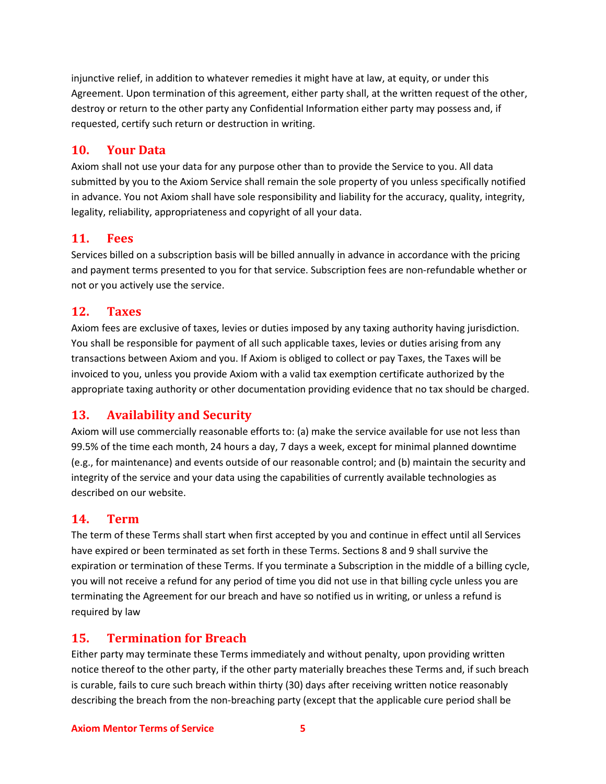injunctive relief, in addition to whatever remedies it might have at law, at equity, or under this Agreement. Upon termination of this agreement, either party shall, at the written request of the other, destroy or return to the other party any Confidential Information either party may possess and, if requested, certify such return or destruction in writing.

#### **10. Your Data**

Axiom shall not use your data for any purpose other than to provide the Service to you. All data submitted by you to the Axiom Service shall remain the sole property of you unless specifically notified in advance. You not Axiom shall have sole responsibility and liability for the accuracy, quality, integrity, legality, reliability, appropriateness and copyright of all your data.

#### **11. Fees**

Services billed on a subscription basis will be billed annually in advance in accordance with the pricing and payment terms presented to you for that service. Subscription fees are non-refundable whether or not or you actively use the service.

#### **12. Taxes**

Axiom fees are exclusive of taxes, levies or duties imposed by any taxing authority having jurisdiction. You shall be responsible for payment of all such applicable taxes, levies or duties arising from any transactions between Axiom and you. If Axiom is obliged to collect or pay Taxes, the Taxes will be invoiced to you, unless you provide Axiom with a valid tax exemption certificate authorized by the appropriate taxing authority or other documentation providing evidence that no tax should be charged.

# **13. Availability and Security**

Axiom will use commercially reasonable efforts to: (a) make the service available for use not less than 99.5% of the time each month, 24 hours a day, 7 days a week, except for minimal planned downtime (e.g., for maintenance) and events outside of our reasonable control; and (b) maintain the security and integrity of the service and your data using the capabilities of currently available technologies as described on our website.

#### **14. Term**

The term of these Terms shall start when first accepted by you and continue in effect until all Services have expired or been terminated as set forth in these Terms. Sections 8 and 9 shall survive the expiration or termination of these Terms. If you terminate a Subscription in the middle of a billing cycle, you will not receive a refund for any period of time you did not use in that billing cycle unless you are terminating the Agreement for our breach and have so notified us in writing, or unless a refund is required by law

### **15. Termination for Breach**

Either party may terminate these Terms immediately and without penalty, upon providing written notice thereof to the other party, if the other party materially breaches these Terms and, if such breach is curable, fails to cure such breach within thirty (30) days after receiving written notice reasonably describing the breach from the non-breaching party (except that the applicable cure period shall be